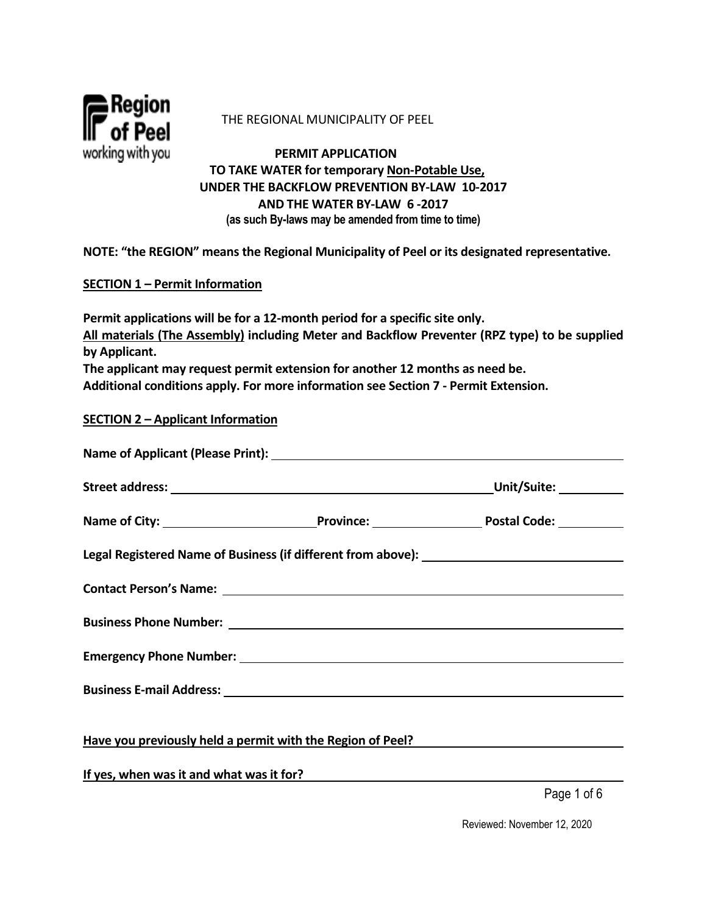

#### THE REGIONAL MUNICIPALITY OF PEEL

 **PERMIT APPLICATION TO TAKE WATER for temporary Non-Potable Use, UNDER THE BACKFLOW PREVENTION BY-LAW 10-2017 AND THE WATER BY-LAW 6 -2017 (as such By-laws may be amended from time to time)**

**NOTE: "the REGION" means the Regional Municipality of Peel or its designated representative.** 

### **SECTION 1 – Permit Information**

**Permit applications will be for a 12-month period for a specific site only. All materials (The Assembly) including Meter and Backflow Preventer (RPZ type) to be supplied by Applicant. The applicant may request permit extension for another 12 months as need be.** 

**Additional conditions apply. For more information see Section 7 - Permit Extension.** 

#### **SECTION 2 – Applicant Information**

| Contact Person's Name: Name and South Art and South Art and South Art and South Art and South Art and South Art and South Art and South Art and South Art and South Art and South Art and South Art and South Art and South Ar |                                                            |
|--------------------------------------------------------------------------------------------------------------------------------------------------------------------------------------------------------------------------------|------------------------------------------------------------|
|                                                                                                                                                                                                                                |                                                            |
|                                                                                                                                                                                                                                |                                                            |
| Business E-mail Address: North American Section 2014 12:30 12:30 12:30 12:30 12:30 12:30 12:30 12:30 12:30 12:30 12:30 12:30 12:30 12:30 12:30 12:30 12:30 12:30 12:30 12:30 12:30 12:30 12:30 12:30 12:30 12:30 12:30 12:30 1 |                                                            |
|                                                                                                                                                                                                                                |                                                            |
|                                                                                                                                                                                                                                | Have you previously held a permit with the Region of Peel? |
| If yes, when was it and what was it for?                                                                                                                                                                                       |                                                            |

Page 1 of 6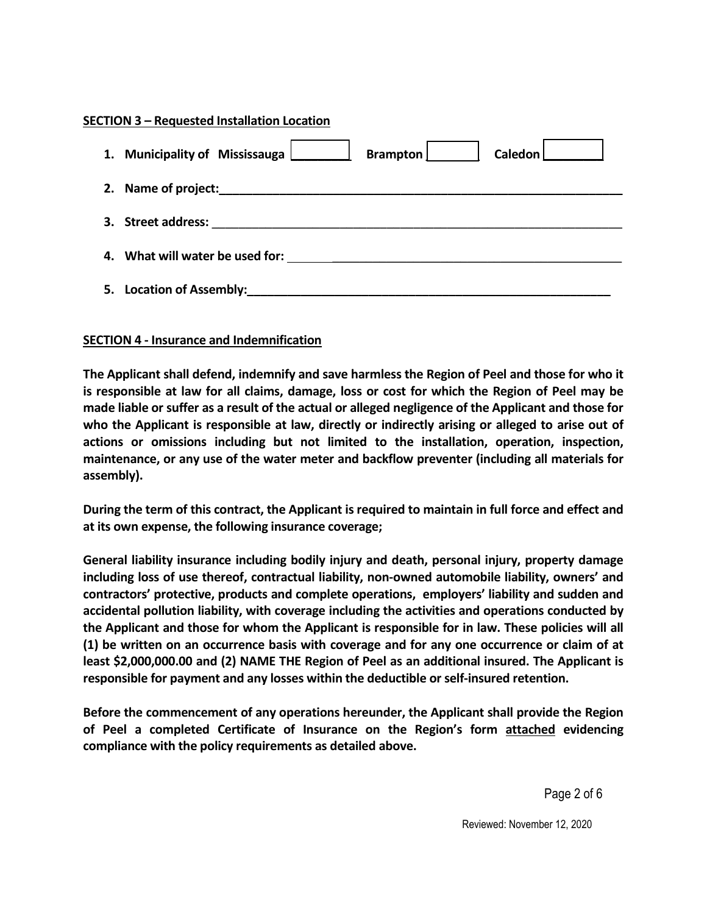### **SECTION 3 – Requested Installation Location**

|    | 1. Municipality of Mississauga<br>Brampton<br>Caledon |
|----|-------------------------------------------------------|
|    | 2. Name of project:                                   |
| 3. | <b>Street address:</b>                                |
|    | 4. What will water be used for:                       |
| 5. | <b>Location of Assembly:</b>                          |

### **SECTION 4 - Insurance and Indemnification**

**The Applicant shall defend, indemnify and save harmless the Region of Peel and those for who it is responsible at law for all claims, damage, loss or cost for which the Region of Peel may be made liable or suffer as a result of the actual or alleged negligence of the Applicant and those for who the Applicant is responsible at law, directly or indirectly arising or alleged to arise out of actions or omissions including but not limited to the installation, operation, inspection, maintenance, or any use of the water meter and backflow preventer (including all materials for assembly).**

**During the term of this contract, the Applicant is required to maintain in full force and effect and at its own expense, the following insurance coverage;**

**General liability insurance including bodily injury and death, personal injury, property damage including loss of use thereof, contractual liability, non-owned automobile liability, owners' and contractors' protective, products and complete operations, employers' liability and sudden and accidental pollution liability, with coverage including the activities and operations conducted by the Applicant and those for whom the Applicant is responsible for in law. These policies will all (1) be written on an occurrence basis with coverage and for any one occurrence or claim of at least \$2,000,000.00 and (2) NAME THE Region of Peel as an additional insured. The Applicant is responsible for payment and any losses within the deductible or self-insured retention.**

**Before the commencement of any operations hereunder, the Applicant shall provide the Region of Peel a completed Certificate of Insurance on the Region's form attached evidencing compliance with the policy requirements as detailed above.**

Page 2 of 6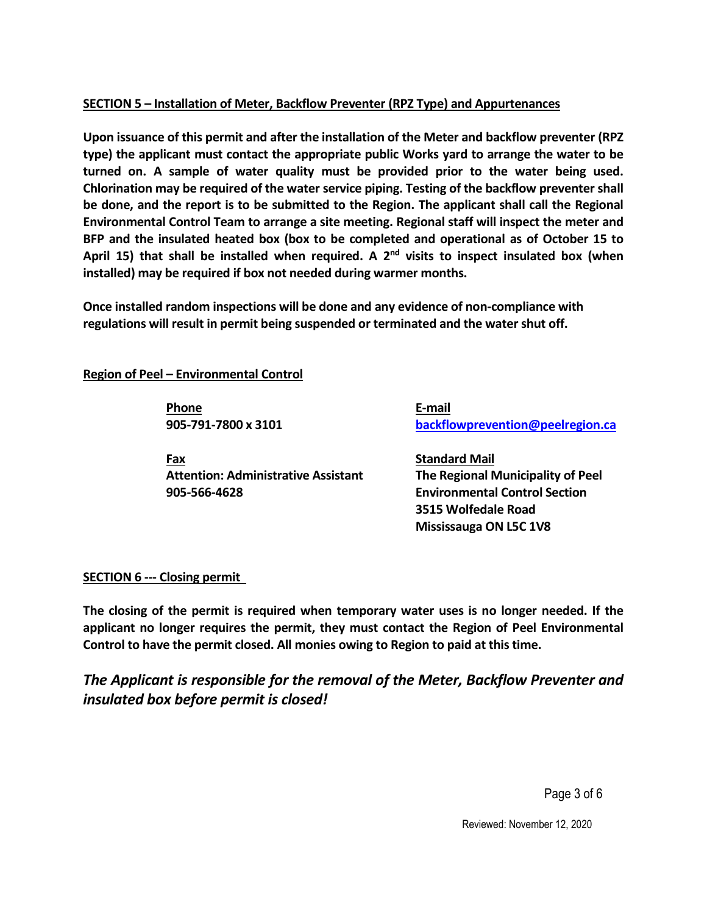# **SECTION 5 – Installation of Meter, Backflow Preventer (RPZ Type) and Appurtenances**

**Upon issuance of this permit and after the installation of the Meter and backflow preventer (RPZ type) the applicant must contact the appropriate public Works yard to arrange the water to be turned on. A sample of water quality must be provided prior to the water being used. Chlorination may be required of the water service piping. Testing of the backflow preventer shall be done, and the report is to be submitted to the Region. The applicant shall call the Regional Environmental Control Team to arrange a site meeting. Regional staff will inspect the meter and BFP and the insulated heated box (box to be completed and operational as of October 15 to April 15) that shall be installed when required. A 2nd visits to inspect insulated box (when installed) may be required if box not needed during warmer months.** 

**Once installed random inspections will be done and any evidence of non-compliance with regulations will result in permit being suspended or terminated and the water shut off.** 

**Region of Peel – Environmental Control**

 **Phone E-mail**

**Fax** Standard Mail  **Attention: Administrative Assistant The Regional Municipality of Peel 905-566-4628 Environmental Control Section**

 **905-791-7800 x 3101 [backflowprevention@peelregion.ca](mailto:backflowprevention@peelregion.ca)** 

 **3515 Wolfedale Road Mississauga ON L5C 1V8**

# **SECTION 6 --- Closing permit**

**The closing of the permit is required when temporary water uses is no longer needed. If the applicant no longer requires the permit, they must contact the Region of Peel Environmental Control to have the permit closed. All monies owing to Region to paid at this time.** 

*The Applicant is responsible for the removal of the Meter, Backflow Preventer and insulated box before permit is closed!* 

Page 3 of 6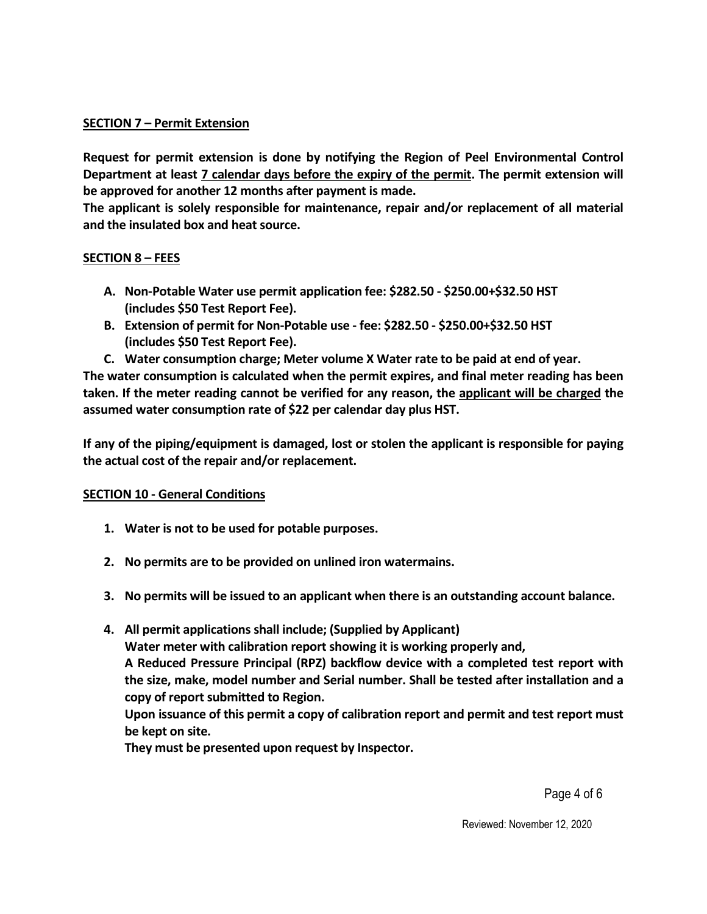### **SECTION 7 – Permit Extension**

**Request for permit extension is done by notifying the Region of Peel Environmental Control Department at least 7 calendar days before the expiry of the permit. The permit extension will be approved for another 12 months after payment is made.** 

**The applicant is solely responsible for maintenance, repair and/or replacement of all material and the insulated box and heat source.** 

### **SECTION 8 – FEES**

- **A. Non-Potable Water use permit application fee: \$282.50 \$250.00+\$32.50 HST (includes \$50 Test Report Fee).**
- **B. Extension of permit for Non-Potable use fee: \$282.50 \$250.00+\$32.50 HST (includes \$50 Test Report Fee).**
- **C. Water consumption charge; Meter volume X Water rate to be paid at end of year.**

**The water consumption is calculated when the permit expires, and final meter reading has been taken. If the meter reading cannot be verified for any reason, the applicant will be charged the assumed water consumption rate of \$22 per calendar day plus HST.** 

**If any of the piping/equipment is damaged, lost or stolen the applicant is responsible for paying the actual cost of the repair and/or replacement.** 

### **SECTION 10 - General Conditions**

- **1. Water is not to be used for potable purposes.**
- **2. No permits are to be provided on unlined iron watermains.**
- **3. No permits will be issued to an applicant when there is an outstanding account balance.**
- **4. All permit applications shall include; (Supplied by Applicant) Water meter with calibration report showing it is working properly and, A Reduced Pressure Principal (RPZ) backflow device with a completed test report with the size, make, model number and Serial number. Shall be tested after installation and a copy of report submitted to Region. Upon issuance of this permit a copy of calibration report and permit and test report must be kept on site.**

**They must be presented upon request by Inspector.** 

Page 4 of 6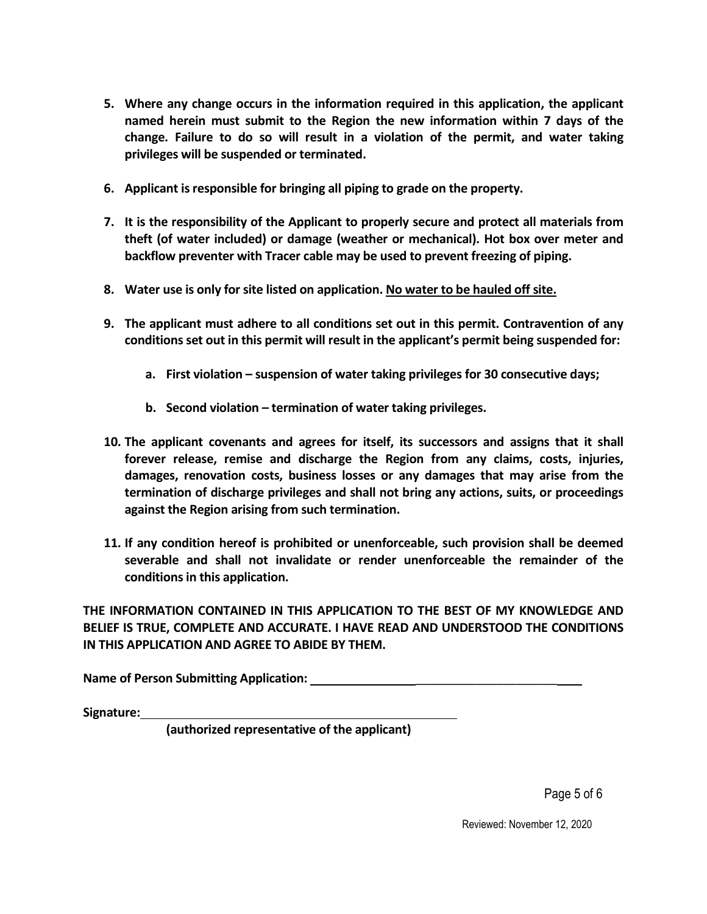- **5. Where any change occurs in the information required in this application, the applicant named herein must submit to the Region the new information within 7 days of the change. Failure to do so will result in a violation of the permit, and water taking privileges will be suspended or terminated.**
- **6. Applicant is responsible for bringing all piping to grade on the property.**
- **7. It is the responsibility of the Applicant to properly secure and protect all materials from theft (of water included) or damage (weather or mechanical). Hot box over meter and backflow preventer with Tracer cable may be used to prevent freezing of piping.**
- **8. Water use is only for site listed on application. No water to be hauled off site.**
- **9. The applicant must adhere to all conditions set out in this permit. Contravention of any conditions set out in this permit will result in the applicant's permit being suspended for:**
	- **a. First violation suspension of water taking privileges for 30 consecutive days;**
	- **b. Second violation termination of water taking privileges.**
- **10. The applicant covenants and agrees for itself, its successors and assigns that it shall forever release, remise and discharge the Region from any claims, costs, injuries, damages, renovation costs, business losses or any damages that may arise from the termination of discharge privileges and shall not bring any actions, suits, or proceedings against the Region arising from such termination.**
- **11. If any condition hereof is prohibited or unenforceable, such provision shall be deemed severable and shall not invalidate or render unenforceable the remainder of the conditions in this application.**

**THE INFORMATION CONTAINED IN THIS APPLICATION TO THE BEST OF MY KNOWLEDGE AND BELIEF IS TRUE, COMPLETE AND ACCURATE. I HAVE READ AND UNDERSTOOD THE CONDITIONS IN THIS APPLICATION AND AGREE TO ABIDE BY THEM.** 

**Name of Person Submitting Application:** \_\_\_\_\_\_\_\_\_\_\_\_\_\_\_\_\_\_\_\_\_

**Signature:** 

 **(authorized representative of the applicant)**

Page 5 of 6